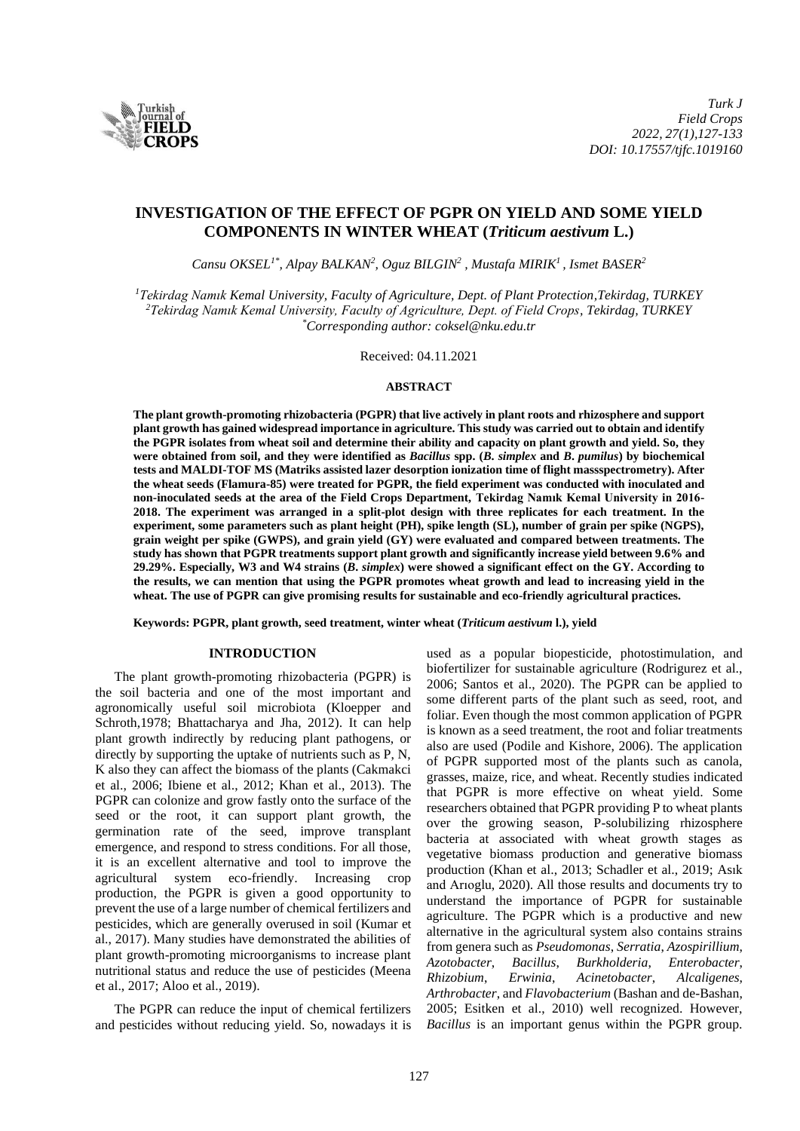

# **INVESTIGATION OF THE EFFECT OF PGPR ON YIELD AND SOME YIELD COMPONENTS IN WINTER WHEAT (***Triticum aestivum* **L.)**

*Cansu OKSEL1\*, Alpay BALKAN<sup>2</sup> , Oguz BILGIN 2 , Mustafa MIRIK 1 , Ismet BASER<sup>2</sup>*

*<sup>1</sup>Tekirdag Namık Kemal University, Faculty of Agriculture, Dept. of Plant Protection,Tekirdag, TURKEY <sup>2</sup>Tekirdag Namık Kemal University, Faculty of Agriculture, Dept. of Field Crops, Tekirdag, TURKEY \*Corresponding author: [coksel@nku.edu.tr](mailto:coksel@nku.edu.tr)*

Received: 04.11.2021

### **ABSTRACT**

**The plant growth-promoting rhizobacteria (PGPR) that live actively in plant roots and rhizosphere and support plant growth has gained widespread importance in agriculture. This study was carried out to obtain and identify the PGPR isolates from wheat soil and determine their ability and capacity on plant growth and yield. So, they were obtained from soil, and they were identified as** *Bacillus* **spp. (***B***.** *simplex* **and** *B***.** *pumilus***) by biochemical tests and MALDI-TOF MS (Matriks assisted lazer desorption ionization time of flight massspectrometry). After the wheat seeds (Flamura-85) were treated for PGPR, the field experiment was conducted with inoculated and non-inoculated seeds at the area of the Field Crops Department, Tekirdag Namık Kemal University in 2016- 2018. The experiment was arranged in a split-plot design with three replicates for each treatment. In the experiment, some parameters such as plant height (PH), spike length (SL), number of grain per spike (NGPS), grain weight per spike (GWPS), and grain yield (GY) were evaluated and compared between treatments. The study has shown that PGPR treatments support plant growth and significantly increase yield between 9.6% and 29.29%. Especially, W3 and W4 strains (***B***.** *simplex***) were showed a significant effect on the GY. According to the results, we can mention that using the PGPR promotes wheat growth and lead to increasing yield in the wheat. The use of PGPR can give promising results for sustainable and eco-friendly agricultural practices.**

**Keywords: PGPR, plant growth, seed treatment, winter wheat (***Triticum aestivum* **l.), yield**

# **INTRODUCTION**

The plant growth-promoting rhizobacteria (PGPR) is the soil bacteria and one of the most important and agronomically useful soil microbiota (Kloepper and Schroth,1978; Bhattacharya and Jha, 2012). It can help plant growth indirectly by reducing plant pathogens, or directly by supporting the uptake of nutrients such as P, N, K also they can affect the biomass of the plants (Cakmakci et al., 2006; Ibiene et al., 2012; Khan et al., 2013). The PGPR can colonize and grow fastly onto the surface of the seed or the root, it can support plant growth, the germination rate of the seed, improve transplant emergence, and respond to stress conditions. For all those, it is an excellent alternative and tool to improve the agricultural system eco-friendly. Increasing crop production, the PGPR is given a good opportunity to prevent the use of a large number of chemical fertilizers and pesticides, which are generally overused in soil [\(Kumar et](about:blank#B93)  [al., 2017\)](about:blank#B93). Many studies have demonstrated the abilities of plant growth-promoting microorganisms to increase plant nutritional status and reduce the use of pesticides (Meena et al., 2017; [Aloo et al., 2019\)](about:blank#B5).

The PGPR can reduce the input of chemical fertilizers and pesticides without reducing yield. So, nowadays it is used as a popular biopesticide, photostimulation, and biofertilizer for sustainable agriculture (Rodrigurez et al., 2006; Santos et al., 2020). The PGPR can be applied to some different parts of the plant such as seed, root, and foliar. Even though the most common application of PGPR is known as a seed treatment, the root and foliar treatments also are used (Podile and Kishore, 2006). The application of PGPR supported most of the plants such as canola, grasses, maize, rice, and wheat. Recently studies indicated that PGPR is more effective on wheat yield. Some researchers obtained that PGPR providing P to wheat plants over the growing season, P-solubilizing rhizosphere bacteria at associated with wheat growth stages as vegetative biomass production and generative biomass production (Khan et al., 2013; Schadler et al., 2019; Asık and Arıoglu, 2020). All those results and documents try to understand the importance of PGPR for sustainable agriculture. The PGPR which is a productive and new alternative in the agricultural system also contains strains from genera such as *Pseudomonas*, *Serratia*, *Azospirillium*, *Azotobacter*, *Bacillus*, *Burkholderia*, *Enterobacter*, *Rhizobium*, *Erwinia*, *Acinetobacter*, *Alcaligenes*, *Arthrobacter*, and *Flavobacterium* (Bashan and de-Bashan, 2005; Esitken et al., 2010) well recognized. However, *Bacillus* is an important genus within the PGPR group.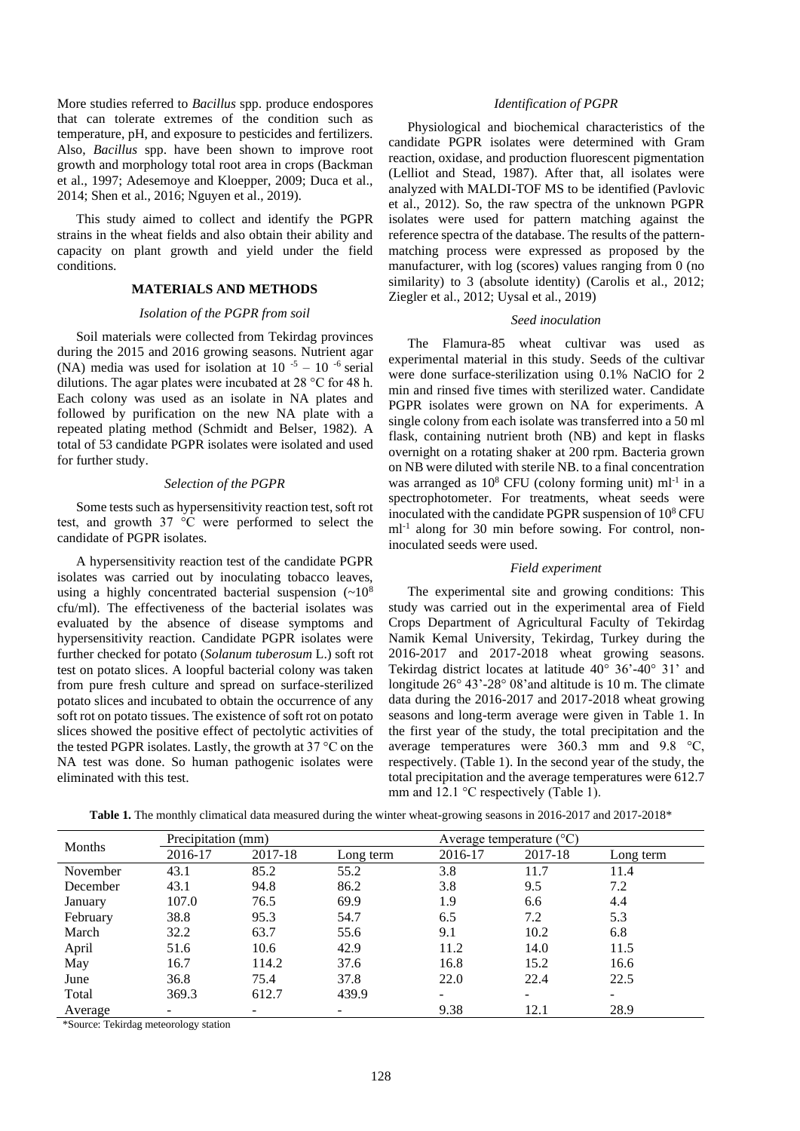More studies referred to *Bacillus* spp. produce endospores that can tolerate extremes of the condition such as temperature, pH, and exposure to pesticides and fertilizers. Also, *Bacillus* spp. have been shown to improve root growth and morphology total root area in crops (Backman et al., 1997; Adesemoye and Kloepper, 2009; Duca et al., 2014; Shen et al., 2016; Nguyen et al., 2019).

This study aimed to collect and identify the PGPR strains in the wheat fields and also obtain their ability and capacity on plant growth and yield under the field conditions.

# **MATERIALS AND METHODS**

#### *Isolation of the PGPR from soil*

Soil materials were collected from Tekirdag provinces during the 2015 and 2016 growing seasons. Nutrient agar (NA) media was used for isolation at  $10^{-5} - 10^{-6}$  serial dilutions. The agar plates were incubated at 28 °C for 48 h. Each colony was used as an isolate in NA plates and followed by purification on the new NA plate with a repeated plating method (Schmidt and Belser, 1982). A total of 53 candidate PGPR isolates were isolated and used for further study.

# *Selection of the PGPR*

Some tests such as hypersensitivity reaction test, soft rot test, and growth 37 °C were performed to select the candidate of PGPR isolates.

A hypersensitivity reaction test of the candidate PGPR isolates was carried out by inoculating tobacco leaves, using a highly concentrated bacterial suspension  $({\sim}10^8$ cfu/ml). The effectiveness of the bacterial isolates was evaluated by the absence of disease symptoms and hypersensitivity reaction. Candidate PGPR isolates were further checked for potato (*Solanum tuberosum* L.) soft rot test on potato slices. A loopful bacterial colony was taken from pure fresh culture and spread on surface-sterilized potato slices and incubated to obtain the occurrence of any soft rot on potato tissues. The existence of soft rot on potato slices showed the positive effect of pectolytic activities of the tested PGPR isolates. Lastly, the growth at 37 °C on the NA test was done. So human pathogenic isolates were eliminated with this test.

#### *Identification of PGPR*

Physiological and biochemical characteristics of the candidate PGPR isolates were determined with Gram reaction, oxidase, and production fluorescent pigmentation (Lelliot and Stead, 1987). After that, all isolates were analyzed with MALDI-TOF MS to be identified (Pavlovic et al., 2012). So, the raw spectra of the unknown PGPR isolates were used for pattern matching against the reference spectra of the database. The results of the patternmatching process were expressed as proposed by the manufacturer, with log (scores) values ranging from 0 (no similarity) to 3 (absolute identity) (Carolis et al., 2012; Ziegler et al., 2012; Uysal et al., 2019)

# *Seed inoculation*

The Flamura-85 wheat cultivar was used as experimental material in this study. Seeds of the cultivar were done surface-sterilization using 0.1% NaClO for 2 min and rinsed five times with sterilized water. Candidate PGPR isolates were grown on NA for experiments. A single colony from each isolate was transferred into a 50 ml flask, containing nutrient broth (NB) and kept in flasks overnight on a rotating shaker at 200 rpm. Bacteria grown on NB were diluted with sterile NB. to a final concentration was arranged as  $10^8$  CFU (colony forming unit) ml<sup>-1</sup> in a spectrophotometer. For treatments, wheat seeds were inoculated with the candidate PGPR suspension of  $10^8$  CFU ml-1 along for 30 min before sowing. For control, noninoculated seeds were used.

# *Field experiment*

The experimental site and growing conditions: This study was carried out in the experimental area of Field Crops Department of Agricultural Faculty of Tekirdag Namik Kemal University, Tekirdag, Turkey during the 2016-2017 and 2017-2018 wheat growing seasons. Tekirdag district locates at latitude  $40^{\circ}$  36'- $40^{\circ}$  31' and longitude 26° 43'-28° 08'and altitude is 10 m. The climate data during the 2016-2017 and 2017-2018 wheat growing seasons and long-term average were given in Table 1. In the first year of the study, the total precipitation and the average temperatures were 360.3 mm and 9.8 °C, respectively. (Table 1). In the second year of the study, the total precipitation and the average temperatures were 612.7 mm and 12.1 °C respectively (Table 1).

**Table 1.** The monthly climatical data measured during the winter wheat-growing seasons in 2016-2017 and 2017-2018\*

| Months   | Precipitation (mm) |                          |           | Average temperature $({}^{\circ}C)$ |                          |           |  |
|----------|--------------------|--------------------------|-----------|-------------------------------------|--------------------------|-----------|--|
|          | 2016-17            | 2017-18                  | Long term | 2016-17                             | 2017-18                  | Long term |  |
| November | 43.1               | 85.2                     | 55.2      | 3.8                                 | 11.7                     | 11.4      |  |
| December | 43.1               | 94.8                     | 86.2      | 3.8                                 | 9.5                      | 7.2       |  |
| January  | 107.0              | 76.5                     | 69.9      | 1.9                                 | 6.6                      | 4.4       |  |
| February | 38.8               | 95.3                     | 54.7      | 6.5                                 | 7.2                      | 5.3       |  |
| March    | 32.2               | 63.7                     | 55.6      | 9.1                                 | 10.2                     | 6.8       |  |
| April    | 51.6               | 10.6                     | 42.9      | 11.2                                | 14.0                     | 11.5      |  |
| May      | 16.7               | 114.2                    | 37.6      | 16.8                                | 15.2                     | 16.6      |  |
| June     | 36.8               | 75.4                     | 37.8      | 22.0                                | 22.4                     | 22.5      |  |
| Total    | 369.3              | 612.7                    | 439.9     | -                                   | $\overline{\phantom{0}}$ |           |  |
| Average  | -                  | $\overline{\phantom{0}}$ | -         | 9.38                                | 12.1                     | 28.9      |  |

\*Source: Tekirdag meteorology station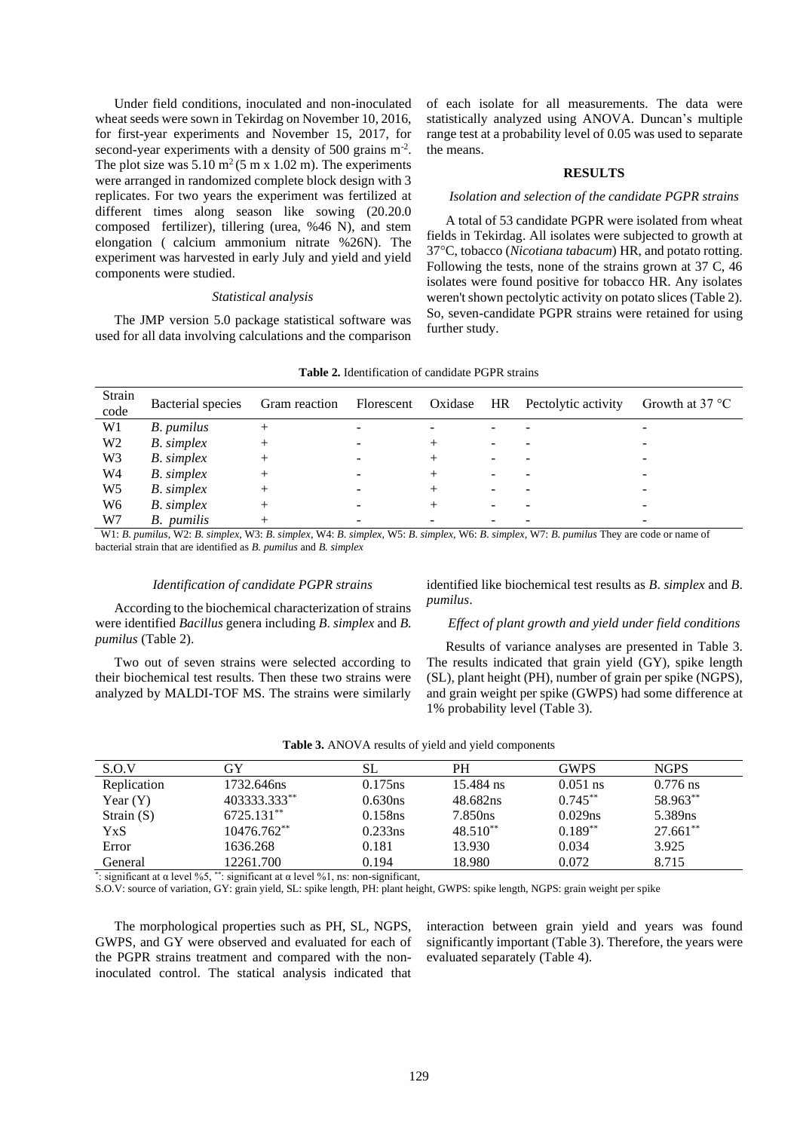Under field conditions, inoculated and non-inoculated wheat seeds were sown in Tekirdag on November 10, 2016, for first-year experiments and November 15, 2017, for second-year experiments with a density of 500 grains m<sup>-2</sup>. The plot size was  $5.10 \text{ m}^2 (5 \text{ m} \text{ x } 1.02 \text{ m})$ . The experiments were arranged in randomized complete block design with 3 replicates. For two years the experiment was fertilized at different times along season like sowing (20.20.0 composed fertilizer), tillering (urea, %46 N), and stem elongation ( calcium ammonium nitrate %26N). The experiment was harvested in early July and yield and yield components were studied.

#### *Statistical analysis*

The JMP version 5.0 package statistical software was used for all data involving calculations and the comparison of each isolate for all measurements. The data were statistically analyzed using ANOVA. Duncan's multiple range test at a probability level of 0.05 was used to separate the means.

### **RESULTS**

# *Isolation and selection of the candidate PGPR strains*

A total of 53 candidate PGPR were isolated from wheat fields in Tekirdag. All isolates were subjected to growth at 37°C, tobacco (*Nicotiana tabacum*) HR, and potato rotting. Following the tests, none of the strains grown at 37 C, 46 isolates were found positive for tobacco HR. Any isolates weren't shown pectolytic activity on potato slices (Table 2). So, seven-candidate PGPR strains were retained for using further study.

| Strain<br>code | Bacterial species |                          |  | Gram reaction Florescent Oxidase HR Pectolytic activity | Growth at $37^{\circ}$ C |
|----------------|-------------------|--------------------------|--|---------------------------------------------------------|--------------------------|
| W1             | B. pumilus        |                          |  |                                                         |                          |
| W <sub>2</sub> | <b>B.</b> simplex | $\overline{\phantom{a}}$ |  |                                                         |                          |
| W <sub>3</sub> | <b>B.</b> simplex |                          |  |                                                         |                          |
| W4             | <b>B.</b> simplex |                          |  |                                                         |                          |
| W <sub>5</sub> | <b>B.</b> simplex |                          |  |                                                         |                          |
| W <sub>6</sub> | $B.$ simplex      |                          |  |                                                         |                          |
| W7             | B. pumilis        | $\overline{\phantom{a}}$ |  |                                                         | -                        |

**Table 2.** Identification of candidate PGPR strains

W1: B. pumilus, W2: B. simplex, W3: B. simplex, W4: B. simplex, W5: B. simplex, W6: B. simplex, W7: B. pumilus They are code or name of bacterial strain that are identified as *B. pumilus* and *B. simplex*

# *Identification of candidate PGPR strains*

According to the biochemical characterization of strains were identified *Bacillus* genera including *B*. *simplex* and *B*. *pumilus* (Table 2).

identified like biochemical test results as *B*. *simplex* and *B*. *pumilus*.

# *Effect of plant growth and yield under field conditions*

Two out of seven strains were selected according to their biochemical test results. Then these two strains were analyzed by MALDI-TOF MS. The strains were similarly

Results of variance analyses are presented in Table 3. The results indicated that grain yield (GY), spike length (SL), plant height (PH), number of grain per spike (NGPS), and grain weight per spike (GWPS) had some difference at 1% probability level (Table 3).

| S.O.V        | GY           | SL         | PН         | <b>GWPS</b> | <b>NGPS</b> |
|--------------|--------------|------------|------------|-------------|-------------|
| Replication  | 1732.646ns   | $0.175$ ns | 15.484 ns  | $0.051$ ns  | $0.776$ ns  |
| Year $(Y)$   | 403333.333** | 0.630ns    | 48.682ns   | $0.745***$  | 58.963**    |
| Strain $(S)$ | 6725.131**   | 0.158ns    | 7.850ns    | 0.029ns     | 5.389ns     |
| YxS          | 10476.762**  | 0.233ns    | $48.510**$ | $0.189**$   | $27.661**$  |
| Error        | 1636.268     | 0.181      | 13.930     | 0.034       | 3.925       |
| General      | 12261.700    | 0.194      | 18.980     | 0.072       | 8.715       |

\*: significant at  $\alpha$  level %5, \*\*: significant at  $\alpha$  level %1, ns: non-significant,

S.O.V: source of variation, GY: grain yield, SL: spike length, PH: plant height, GWPS: spike length, NGPS: grain weight per spike

The morphological properties such as PH, SL, NGPS, GWPS, and GY were observed and evaluated for each of the PGPR strains treatment and compared with the noninoculated control. The statical analysis indicated that interaction between grain yield and years was found significantly important (Table 3). Therefore, the years were evaluated separately (Table 4).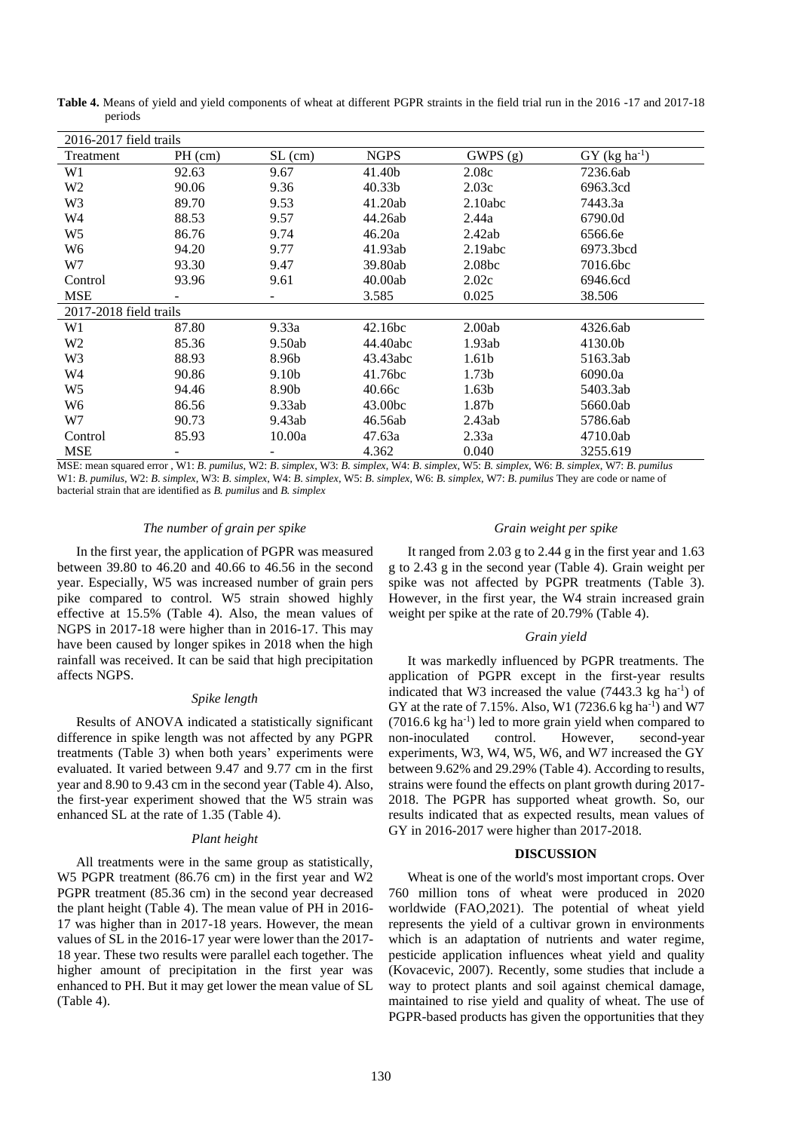| 2016-2017 field trails |           |           |                    |                    |                             |  |
|------------------------|-----------|-----------|--------------------|--------------------|-----------------------------|--|
| Treatment              | $PH$ (cm) | $SL$ (cm) | <b>NGPS</b>        | GWPS(g)            | $GY$ (kg ha <sup>-1</sup> ) |  |
| W1                     | 92.63     | 9.67      | 41.40b             | 2.08c              | 7236.6ab                    |  |
| W2                     | 90.06     | 9.36      | 40.33 <sub>b</sub> | 2.03c              | 6963.3cd                    |  |
| W3                     | 89.70     | 9.53      | 41.20ab            | 2.10abc            | 7443.3a                     |  |
| W4                     | 88.53     | 9.57      | 44.26ab            | 2.44a              | 6790.0d                     |  |
| W5                     | 86.76     | 9.74      | 46.20a             | 2.42ab             | 6566.6e                     |  |
| W6                     | 94.20     | 9.77      | 41.93ab            | 2.19abc            | 6973.3bcd                   |  |
| W7                     | 93.30     | 9.47      | 39.80ab            | 2.08 <sub>bc</sub> | 7016.6bc                    |  |
| Control                | 93.96     | 9.61      | 40.00ab            | 2.02c              | 6946.6cd                    |  |
| <b>MSE</b>             |           |           | 3.585              | 0.025              | 38.506                      |  |
| 2017-2018 field trails |           |           |                    |                    |                             |  |
| W1                     | 87.80     | 9.33a     | 42.16bc            | 2.00ab             | 4326.6ab                    |  |
| W2                     | 85.36     | 9.50ab    | 44.40abc           | 1.93ab             | 4130.0b                     |  |
| W3                     | 88.93     | 8.96b     | 43.43abc           | 1.61b              | 5163.3ab                    |  |
| W4                     | 90.86     | 9.10b     | 41.76bc            | 1.73 <sub>b</sub>  | 6090.0a                     |  |
| W5                     | 94.46     | 8.90b     | 40.66c             | 1.63 <sub>b</sub>  | 5403.3ab                    |  |
| W6                     | 86.56     | 9.33ab    | 43.00bc            | 1.87b              | 5660.0ab                    |  |
| W7                     | 90.73     | 9.43ab    | 46.56ab            | 2.43ab             | 5786.6ab                    |  |
| Control                | 85.93     | 10.00a    | 47.63a             | 2.33a              | 4710.0ab                    |  |
| MSE                    |           |           | 4.362              | 0.040              | 3255.619                    |  |

**Table 4.** Means of yield and yield components of wheat at different PGPR straints in the field trial run in the 2016 -17 and 2017-18 periods

MSE: mean squared error, W1: B. pumilus, W2: B. simplex, W3: B. simplex, W4: B. simplex, W5: B. simplex, W6: B. simplex, W7: B. pumilus W1: B. pumilus, W2: B. simplex, W3: B. simplex, W4: B. simplex, W5: B. simplex, W6: B. simplex, W7: B. pumilus They are code or name of bacterial strain that are identified as *B. pumilus* and *B. simplex*

# *The number of grain per spike*

In the first year, the application of PGPR was measured between 39.80 to 46.20 and 40.66 to 46.56 in the second year. Especially, W5 was increased number of grain pers pike compared to control. W5 strain showed highly effective at 15.5% (Table 4). Also, the mean values of NGPS in 2017-18 were higher than in 2016-17. This may have been caused by longer spikes in 2018 when the high rainfall was received. It can be said that high precipitation affects NGPS.

# *Spike length*

Results of ANOVA indicated a statistically significant difference in spike length was not affected by any PGPR treatments (Table 3) when both years' experiments were evaluated. It varied between 9.47 and 9.77 cm in the first year and 8.90 to 9.43 cm in the second year (Table 4). Also, the first-year experiment showed that the W5 strain was enhanced SL at the rate of 1.35 (Table 4).

### *Plant height*

All treatments were in the same group as statistically, W5 PGPR treatment (86.76 cm) in the first year and W2 PGPR treatment (85.36 cm) in the second year decreased the plant height (Table 4). The mean value of PH in 2016- 17 was higher than in 2017-18 years. However, the mean values of SL in the 2016-17 year were lower than the 2017- 18 year. These two results were parallel each together. The higher amount of precipitation in the first year was enhanced to PH. But it may get lower the mean value of SL (Table 4).

# *Grain weight per spike*

It ranged from 2.03 g to 2.44 g in the first year and 1.63 g to 2.43 g in the second year (Table 4). Grain weight per spike was not affected by PGPR treatments (Table 3). However, in the first year, the W4 strain increased grain weight per spike at the rate of 20.79% (Table 4).

# *Grain yield*

It was markedly influenced by PGPR treatments. The application of PGPR except in the first-year results indicated that W3 increased the value  $(7443.3 \text{ kg} \text{ ha}^{-1})$  of GY at the rate of 7.15%. Also, W1 (7236.6 kg ha<sup>-1</sup>) and W7 (7016.6 kg ha-1 ) led to more grain yield when compared to non-inoculated control. However, second-year experiments, W3, W4, W5, W6, and W7 increased the GY between 9.62% and 29.29% (Table 4). According to results, strains were found the effects on plant growth during 2017- 2018. The PGPR has supported wheat growth. So, our results indicated that as expected results, mean values of GY in 2016-2017 were higher than 2017-2018.

#### **DISCUSSION**

Wheat is one of the world's most important crops. Over 760 million tons of wheat were produced in 2020 worldwide (FAO,2021). The potential of wheat yield represents the yield of a cultivar grown in environments which is an adaptation of nutrients and water regime, pesticide application influences wheat yield and quality (Kovacevic, 2007). Recently, some studies that include a way to protect plants and soil against chemical damage, maintained to rise yield and quality of wheat. The use of PGPR-based products has given the opportunities that they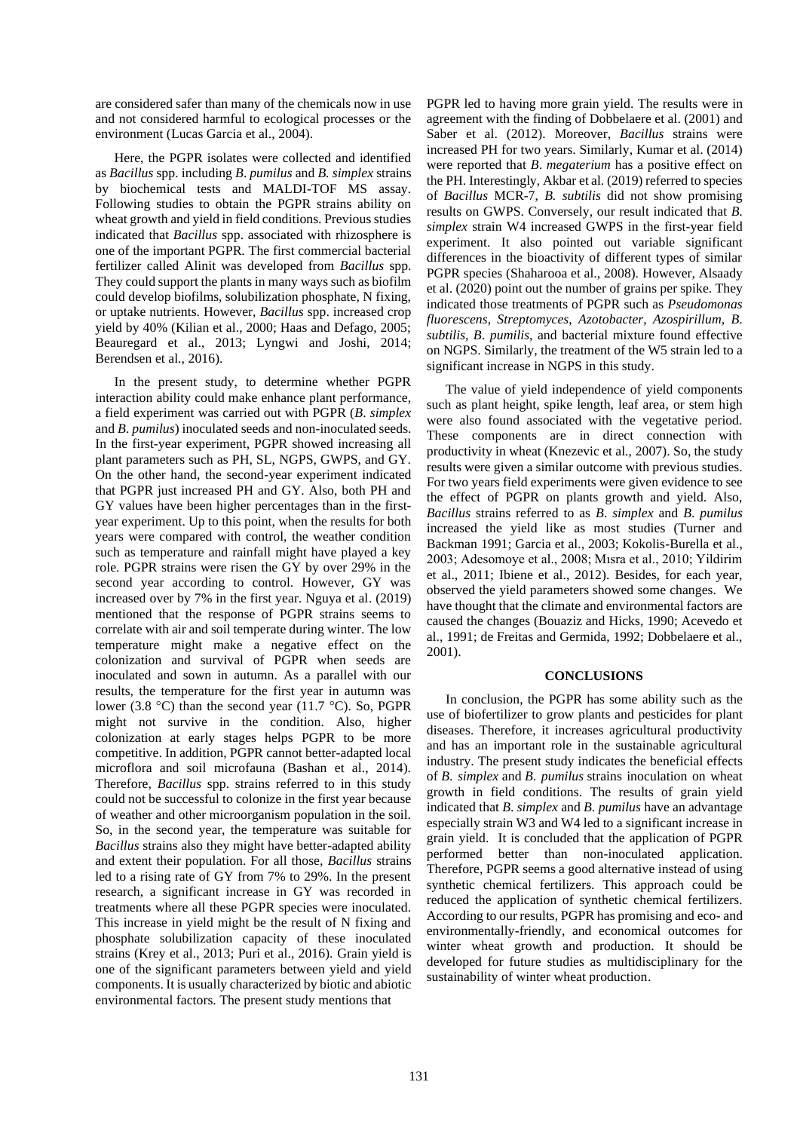are considered safer than many of the chemicals now in use and not considered harmful to ecological processes or the environment (Lucas Garcia et al., 2004).

Here, the PGPR isolates were collected and identified as *Bacillus* spp. including *B*. *pumilus* and *B. simplex* strains by biochemical tests and MALDI-TOF MS assay. Following studies to obtain the PGPR strains ability on wheat growth and yield in field conditions. Previous studies indicated that *Bacillus* spp. associated with rhizosphere is one of the important PGPR. The first commercial bacterial fertilizer called Alinit was developed from *Bacillus* spp. They could support the plants in many ways such as biofilm could develop biofilms, solubilization phosphate, N fixing, or uptake nutrients. However, *Bacillus* spp. increased crop yield by 40% (Kilian et al., 2000; Haas and Defago, 2005; Beauregard et al., 2013; Lyngwi and Joshi, 2014; Berendsen et al., 2016).

In the present study, to determine whether PGPR interaction ability could make enhance plant performance, a field experiment was carried out with PGPR (*B*. *simplex* and *B*. *pumilus*) inoculated seeds and non-inoculated seeds. In the first-year experiment, PGPR showed increasing all plant parameters such as PH, SL, NGPS, GWPS, and GY. On the other hand, the second-year experiment indicated that PGPR just increased PH and GY. Also, both PH and GY values have been higher percentages than in the firstyear experiment. Up to this point, when the results for both years were compared with control, the weather condition such as temperature and rainfall might have played a key role. PGPR strains were risen the GY by over 29% in the second year according to control. However, GY was increased over by 7% in the first year. Nguya et al. (2019) mentioned that the response of PGPR strains seems to correlate with air and soil temperate during winter. The low temperature might make a negative effect on the colonization and survival of PGPR when seeds are inoculated and sown in autumn. As a parallel with our results, the temperature for the first year in autumn was lower (3.8 °C) than the second year (11.7 °C). So, PGPR might not survive in the condition. Also, higher colonization at early stages helps PGPR to be more competitive. In addition, PGPR cannot better-adapted local microflora and soil microfauna (Bashan et al., 2014). Therefore, *Bacillus* spp. strains referred to in this study could not be successful to colonize in the first year because of weather and other microorganism population in the soil. So, in the second year, the temperature was suitable for *Bacillus* strains also they might have better-adapted ability and extent their population. For all those, *Bacillus* strains led to a rising rate of GY from 7% to 29%. In the present research, a significant increase in GY was recorded in treatments where all these PGPR species were inoculated. This increase in yield might be the result of N fixing and phosphate solubilization capacity of these inoculated strains (Krey et al., 2013; Puri et al., 2016). Grain yield is one of the significant parameters between yield and yield components. It is usually characterized by biotic and abiotic environmental factors. The present study mentions that

PGPR led to having more grain yield. The results were in agreement with the finding of Dobbelaere et al. (2001) and Saber et al. (2012). Moreover, *Bacillus* strains were increased PH for two years. Similarly, Kumar et al. (2014) were reported that *B*. *megaterium* has a positive effect on the PH. Interestingly, Akbar et al. (2019) referred to species of *Bacillus* MCR-7, *B. subtilis* did not show promising results on GWPS. Conversely, our result indicated that *B. simplex* strain W4 increased GWPS in the first-year field experiment. It also pointed out variable significant differences in the bioactivity of different types of similar PGPR species (Shaharooa et al., 2008). However, Alsaady et al. (2020) point out the number of grains per spike. They indicated those treatments of PGPR such as *Pseudomonas fluorescens*, *Streptomyces*, *Azotobacter*, *Azospirillum*, *B*. *subtilis, B*. *pumilis*, and bacterial mixture found effective on NGPS. Similarly, the treatment of the W5 strain led to a significant increase in NGPS in this study.

The value of yield independence of yield components such as plant height, spike length, leaf area, or stem high were also found associated with the vegetative period. These components are in direct connection with productivity in wheat (Knezevic et al., 2007). So, the study results were given a similar outcome with previous studies. For two years field experiments were given evidence to see the effect of PGPR on plants growth and yield. Also, *Bacillus* strains referred to as *B*. *simplex* and *B*. *pumilus* increased the yield like as most studies (Turner and Backman 1991; Garcia et al., 2003; Kokolis-Burella et al., 2003; Adesomoye et al., 2008; Mısra et al., 2010; Yildirim et al., 2011; Ibiene et al., 2012). Besides, for each year, observed the yield parameters showed some changes. We have thought that the climate and environmental factors are caused the changes (Bouaziz and Hicks, 1990; Acevedo et al., 1991; de Freitas and Germida, 1992; Dobbelaere et al., 2001).

### **CONCLUSIONS**

In conclusion, the PGPR has some ability such as the use of biofertilizer to grow plants and pesticides for plant diseases. Therefore, it increases agricultural productivity and has an important role in the sustainable agricultural industry. The present study indicates the beneficial effects of *B*. *simplex* and *B*. *pumilus* strains inoculation on wheat growth in field conditions. The results of grain yield indicated that *B*. *simplex* and *B*. *pumilus* have an advantage especially strain W3 and W4 led to a significant increase in grain yield. It is concluded that the application of PGPR performed better than non-inoculated application. Therefore, PGPR seems a good alternative instead of using synthetic chemical fertilizers. This approach could be reduced the application of synthetic chemical fertilizers. According to our results, PGPR has promising and eco- and environmentally-friendly, and economical outcomes for winter wheat growth and production. It should be developed for future studies as multidisciplinary for the sustainability of winter wheat production.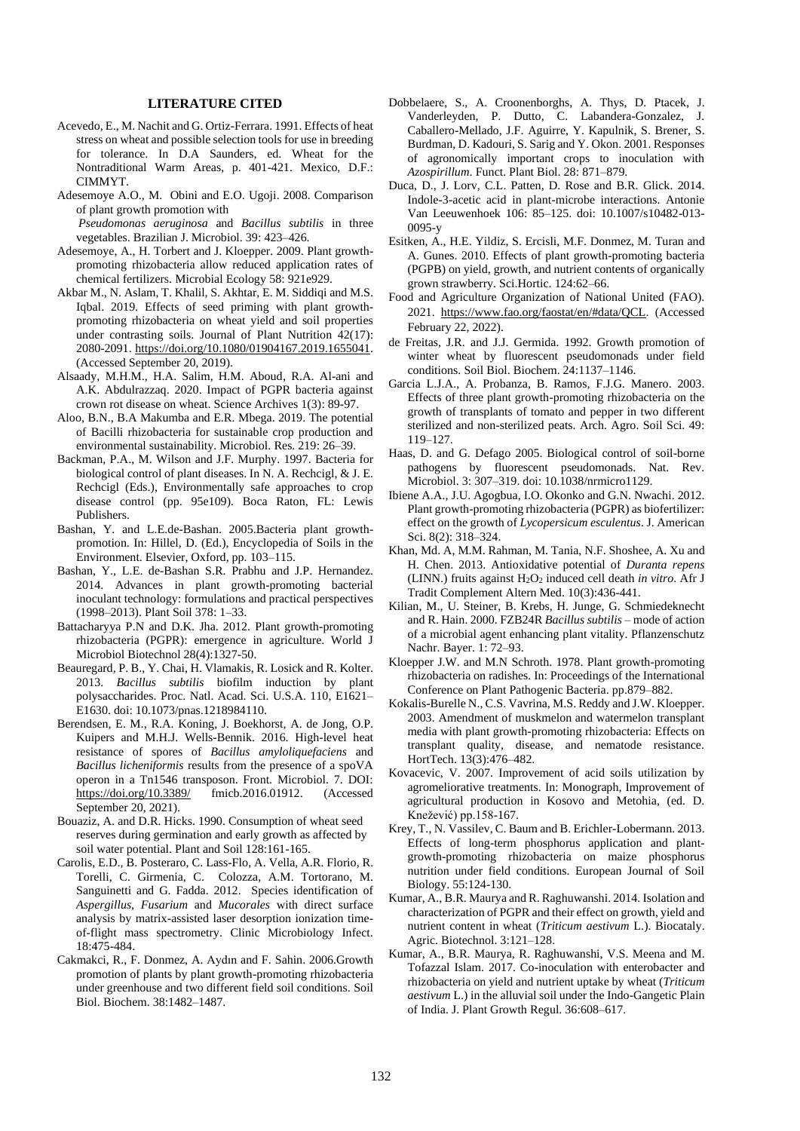### **LITERATURE CITED**

- Acevedo, E., M. Nachit and G. Ortiz-Ferrara. 1991. Effects of heat stress on wheat and possible selection tools for use in breeding for tolerance. In D.A Saunders, ed. Wheat for the Nontraditional Warm Areas, p. 401-421. Mexico, D.F.: CIMMYT.
- Adesemoye A.O., M. Obini and E.O. Ugoji. 2008. Comparison of plant growth promotion with  *Pseudomonas aeruginosa* and *Bacillus subtilis* in three

vegetables. Brazilian J. Microbiol. 39: 423–426.

- Adesemoye, A., H. Torbert and J. Kloepper. 2009. Plant growthpromoting rhizobacteria allow reduced application rates of chemical fertilizers. Microbial Ecology 58: 921e929.
- Akbar M., N. Aslam, T. Khalil, S. Akhtar, E. M. Siddiqi and M.S. Iqbal. 2019. Effects of seed priming with plant growthpromoting rhizobacteria on wheat yield and soil properties under contrasting soils. Journal of Plant Nutrition 42(17): 2080-2091[. https://doi.org/10.1080/01904167.2019.1655041.](https://doi.org/10.1080/01904167.2019.1655041) (Accessed September 20, 2019).
- Alsaady, M.H.M., H.A. Salim, H.M. Aboud, R.A. Al-ani and A.K. Abdulrazzaq. 2020. Impact of PGPR bacteria against crown rot disease on wheat. Science Archives 1(3): 89-97.
- Aloo, B.N., B.A Makumba and E.R. Mbega. 2019. The potential of Bacilli rhizobacteria for sustainable crop production and environmental sustainability. Microbiol. Res. 219: 26–39.
- Backman, P.A., M. Wilson and J.F. Murphy. 1997. Bacteria for biological control of plant diseases. In N. A. Rechcigl, & J. E. Rechcigl (Eds.), Environmentally safe approaches to crop disease control (pp. 95e109). Boca Raton, FL: Lewis Publishers.
- Bashan, Y. and L.E.de-Bashan. 2005.Bacteria plant growthpromotion. In: Hillel, D. (Ed.), Encyclopedia of Soils in the Environment. Elsevier, Oxford, pp. 103–115.
- Bashan, Y., L.E. de-Bashan S.R. Prabhu and J.P. Hernandez. 2014. Advances in plant growth-promoting bacterial inoculant technology: formulations and practical perspectives (1998–2013). Plant Soil 378: 1–33.
- Battacharyya P.N and D.K. Jha. 2012. Plant growth-promoting rhizobacteria (PGPR): emergence in agriculture. World J Microbiol Biotechnol 28(4):1327-50.
- Beauregard, P. B., Y. Chai, H. Vlamakis, R. Losick and R. Kolter. 2013. *Bacillus subtilis* biofilm induction by plant polysaccharides. Proc. Natl. Acad. Sci. U.S.A. 110, E1621– E1630. doi: 10.1073/pnas.1218984110.
- Berendsen, E. M., R.A. Koning, J. Boekhorst, A. de Jong, O.P. Kuipers and M.H.J. Wells-Bennik. 2016. High-level heat resistance of spores of *Bacillus amyloliquefaciens* and *Bacillus licheniformis* results from the presence of a spoVA operon in a Tn1546 transposon. Front. Microbiol. 7. DOI: [https://doi.org/10.3389/](about:blank) fmicb.2016.01912. (Accessed September 20, 2021).
- Bouaziz, A. and D.R. Hicks. 1990. Consumption of wheat seed reserves during germination and early growth as affected by soil water potential. Plant and Soil 128:161-165.
- Carolis, E.D., B. Posteraro, C. Lass-Flo, A. Vella, A.R. Florio, R. Torelli, C. Girmenia, C. Colozza, A.M. Tortorano, M. Sanguinetti and G. Fadda. 2012. Species identification of *Aspergillus, Fusarium* and *Mucorales* with direct surface analysis by matrix-assisted laser desorption ionization timeof-flight mass spectrometry. Clinic Microbiology Infect. 18:475-484.
- Cakmakci, R., F. Donmez, A. Aydın and F. Sahin. 2006.Growth promotion of plants by plant growth-promoting rhizobacteria under greenhouse and two different field soil conditions. Soil Biol. Biochem. 38:1482–1487.
- Dobbelaere, S., A. Croonenborghs, A. Thys, D. Ptacek, J. Vanderleyden, P. Dutto, C. Labandera-Gonzalez, J. Caballero-Mellado, J.F. Aguirre, Y. Kapulnik, S. Brener, S. Burdman, D. Kadouri, S. Sarig and Y. Okon. 2001. Responses of agronomically important crops to inoculation with *Azospirillum*. Funct. Plant Biol. 28: 871–879.
- Duca, D., J. Lorv, C.L. Patten, D. Rose and B.R. Glick. 2014. Indole-3-acetic acid in plant-microbe interactions. Antonie Van Leeuwenhoek 106: 85–125. doi: 10.1007/s10482-013- 0095-y
- Esitken, A., H.E. Yildiz, S. Ercisli, M.F. Donmez, M. Turan and A. Gunes. 2010. Effects of plant growth-promoting bacteria (PGPB) on yield, growth, and nutrient contents of organically grown strawberry. Sci.Hortic. 124:62–66.
- Food and Agriculture Organization of National United (FAO). 2021. [https://www.fao.org/faostat/en/#data/QCL.](https://www.fao.org/faostat/en/#data/QCL) (Accessed February 22, 2022).
- de Freitas, J.R. and J.J. Germida. 1992. Growth promotion of winter wheat by fluorescent pseudomonads under field conditions. Soil Biol. Biochem. 24:1137–1146.
- Garcia L.J.A., A. Probanza, B. Ramos, F.J.G. Manero. 2003. Effects of three plant growth-promoting rhizobacteria on the growth of transplants of tomato and pepper in two different sterilized and non-sterilized peats. Arch. Agro. Soil Sci. 49: 119–127.
- Haas, D. and G. Defago 2005. Biological control of soil-borne pathogens by fluorescent pseudomonads. Nat. Rev. Microbiol. 3: 307–319. doi: 10.1038/nrmicro1129.
- Ibiene A.A., J.U. Agogbua, I.O. Okonko and G.N. Nwachi. 2012. Plant growth-promoting rhizobacteria (PGPR) as biofertilizer: effect on the growth of *Lycopersicum esculentus*. J. American Sci. 8(2): 318–324.
- Khan, Md. A, M.M. Rahman, M. Tania, N.F. Shoshee, A. Xu and H. Chen. 2013. Antioxidative potential of *Duranta repens*  (LINN.) fruits against H2O<sup>2</sup> induced cell death *in vitro*. Afr J Tradit Complement Altern Med. 10(3):436-441.
- Kilian, M., U. Steiner, B. Krebs, H. Junge, G. Schmiedeknecht and R. Hain. 2000. FZB24R *Bacillus subtilis* – mode of action of a microbial agent enhancing plant vitality. Pflanzenschutz Nachr. Bayer. 1: 72–93.
- Kloepper J.W. and M.N Schroth. 1978. Plant growth-promoting rhizobacteria on radishes. In: Proceedings of the International Conference on Plant Pathogenic Bacteria. pp.879–882.
- Kokalis-Burelle N., C.S. Vavrina, M.S. Reddy and J.W. Kloepper. 2003. Amendment of muskmelon and watermelon transplant media with plant growth-promoting rhizobacteria: Effects on transplant quality, disease, and nematode resistance. HortTech. 13(3):476–482.
- Kovacevic, V. 2007. Improvement of acid soils utilization by agromeliorative treatments. In: Monograph, Improvement of agricultural production in Kosovo and Metohia, (ed. D. Knežević) pp.158-167.
- Krey, T., N. Vassilev, C. Baum and B. Erichler-Lobermann. 2013. Effects of long-term phosphorus application and plantgrowth-promoting rhizobacteria on maize phosphorus nutrition under field conditions. European Journal of Soil Biology. 55:124-130.
- Kumar, A., B.R. Maurya and R. Raghuwanshi. 2014. Isolation and characterization of PGPR and their effect on growth, yield and nutrient content in wheat (*Triticum aestivum* L.). Biocataly. Agric. Biotechnol. 3:121–128.
- Kumar, A., B.R. Maurya, R. Raghuwanshi, V.S. Meena and M. Tofazzal Islam. 2017. Co-inoculation with enterobacter and rhizobacteria on yield and nutrient uptake by wheat (*Triticum aestivum* L.) in the alluvial soil under the Indo-Gangetic Plain of India. J. Plant Growth Regul. 36:608–617.